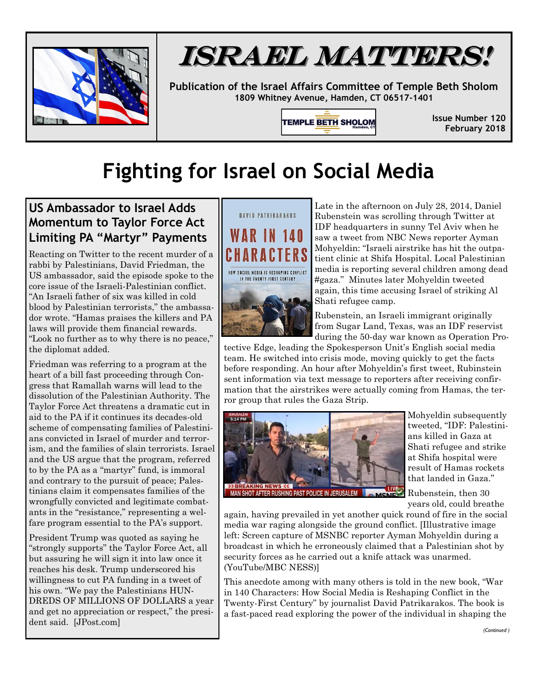

## ISRAEL MATTERS!

**Publication of the Israel Affairs Committee of Temple Beth Sholom 1809 Whitney Avenue, Hamden, CT 06517-1401**

**TEMPLE BETH SHOLOM** 

**Issue Number 120 February 2018**

## **Fighting for Israel on Social Media**

## **US Ambassador to Israel Adds Momentum to Taylor Force Act Limiting PA "Martyr" Payments**

Reacting on Twitter to the recent murder of a rabbi by Palestinians, David Friedman, the US ambassador, said the episode spoke to the core issue of the Israeli-Palestinian conflict. "An Israeli father of six was killed in cold blood by Palestinian terrorists," the ambassador wrote. "Hamas praises the killers and PA laws will provide them financial rewards. "Look no further as to why there is no peace," the diplomat added.

Friedman was referring to a program at the heart of a bill fast proceeding through Congress that Ramallah warns will lead to the dissolution of the Palestinian Authority. The Taylor Force Act threatens a dramatic cut in aid to the PA if it continues its decades-old scheme of compensating families of Palestinians convicted in Israel of murder and terrorism, and the families of slain terrorists. Israel and the US argue that the program, referred to by the PA as a "martyr" fund, is immoral and contrary to the pursuit of peace; Palestinians claim it compensates families of the wrongfully convicted and legitimate combatants in the "resistance," representing a welfare program essential to the PA's support.

President Trump was quoted as saying he "strongly supports" the Taylor Force Act, all but assuring he will sign it into law once it reaches his desk. Trump underscored his willingness to cut PA funding in a tweet of his own. "We pay the Palestinians HUN-DREDS OF MILLIONS OF DOLLARS a year and get no appreciation or respect," the president said. [JPost.com]





Late in the afternoon on July 28, 2014, Daniel Rubenstein was scrolling through Twitter at IDF headquarters in sunny Tel Aviv when he saw a tweet from NBC News reporter Ayman Mohyeldin: "Israeli airstrike has hit the outpatient clinic at Shifa Hospital. Local Palestinian media is reporting several children among dead #gaza." Minutes later Mohyeldin tweeted again, this time accusing Israel of striking Al Shati refugee camp.

Rubenstein, an Israeli immigrant originally from Sugar Land, Texas, was an IDF reservist during the 50-day war known as Operation Pro-

tective Edge, leading the Spokesperson Unit's English social media team. He switched into crisis mode, moving quickly to get the facts before responding. An hour after Mohyeldin's first tweet, Rubinstein sent information via text message to reporters after receiving confirmation that the airstrikes were actually coming from Hamas, the terror group that rules the Gaza Strip.



Mohyeldin subsequently tweeted, "IDF: Palestinians killed in Gaza at Shati refugee and strike at Shifa hospital were result of Hamas rockets that landed in Gaza."

Rubenstein, then 30 years old, could breathe

again, having prevailed in yet another quick round of fire in the social media war raging alongside the ground conflict. [Illustrative image left: Screen capture of MSNBC reporter Ayman Mohyeldin during a broadcast in which he erroneously claimed that a Palestinian shot by security forces as he carried out a knife attack was unarmed. (YouTube/MBC NESS)]

This anecdote among with many others is told in the new book, "War in 140 Characters: How Social Media is Reshaping Conflict in the Twenty-First Century" by journalist David Patrikarakos. The book is a fast-paced read exploring the power of the individual in shaping the